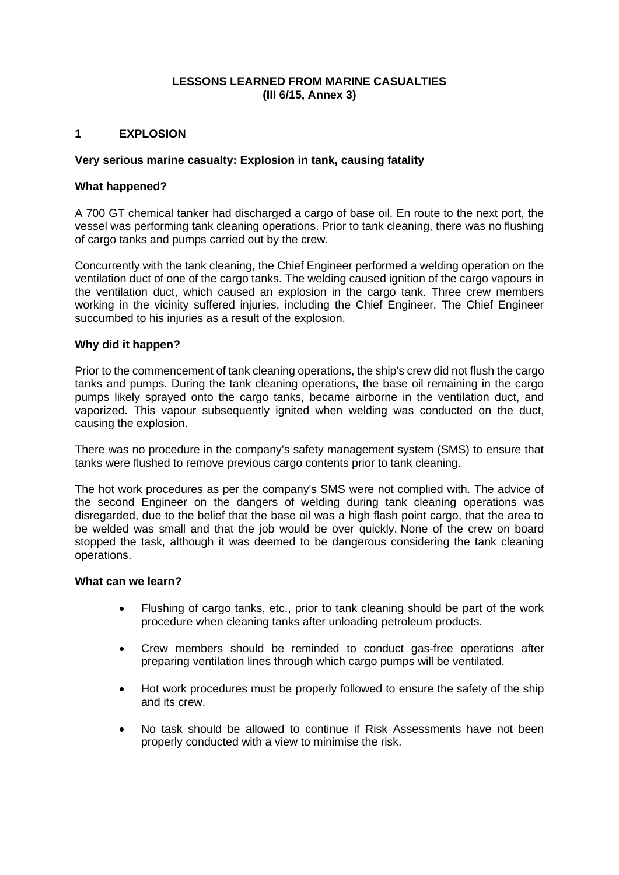# **LESSONS LEARNED FROM MARINE CASUALTIES (III 6/15, Annex 3)**

## **1 EXPLOSION**

### **Very serious marine casualty: Explosion in tank, causing fatality**

### **What happened?**

A 700 GT chemical tanker had discharged a cargo of base oil. En route to the next port, the vessel was performing tank cleaning operations. Prior to tank cleaning, there was no flushing of cargo tanks and pumps carried out by the crew.

Concurrently with the tank cleaning, the Chief Engineer performed a welding operation on the ventilation duct of one of the cargo tanks. The welding caused ignition of the cargo vapours in the ventilation duct, which caused an explosion in the cargo tank. Three crew members working in the vicinity suffered injuries, including the Chief Engineer. The Chief Engineer succumbed to his injuries as a result of the explosion.

## **Why did it happen?**

Prior to the commencement of tank cleaning operations, the ship's crew did not flush the cargo tanks and pumps. During the tank cleaning operations, the base oil remaining in the cargo pumps likely sprayed onto the cargo tanks, became airborne in the ventilation duct, and vaporized. This vapour subsequently ignited when welding was conducted on the duct, causing the explosion.

There was no procedure in the company's safety management system (SMS) to ensure that tanks were flushed to remove previous cargo contents prior to tank cleaning.

The hot work procedures as per the company's SMS were not complied with. The advice of the second Engineer on the dangers of welding during tank cleaning operations was disregarded, due to the belief that the base oil was a high flash point cargo, that the area to be welded was small and that the job would be over quickly. None of the crew on board stopped the task, although it was deemed to be dangerous considering the tank cleaning operations.

### **What can we learn?**

- Flushing of cargo tanks, etc., prior to tank cleaning should be part of the work procedure when cleaning tanks after unloading petroleum products.
- Crew members should be reminded to conduct gas-free operations after preparing ventilation lines through which cargo pumps will be ventilated.
- Hot work procedures must be properly followed to ensure the safety of the ship and its crew.
- No task should be allowed to continue if Risk Assessments have not been properly conducted with a view to minimise the risk.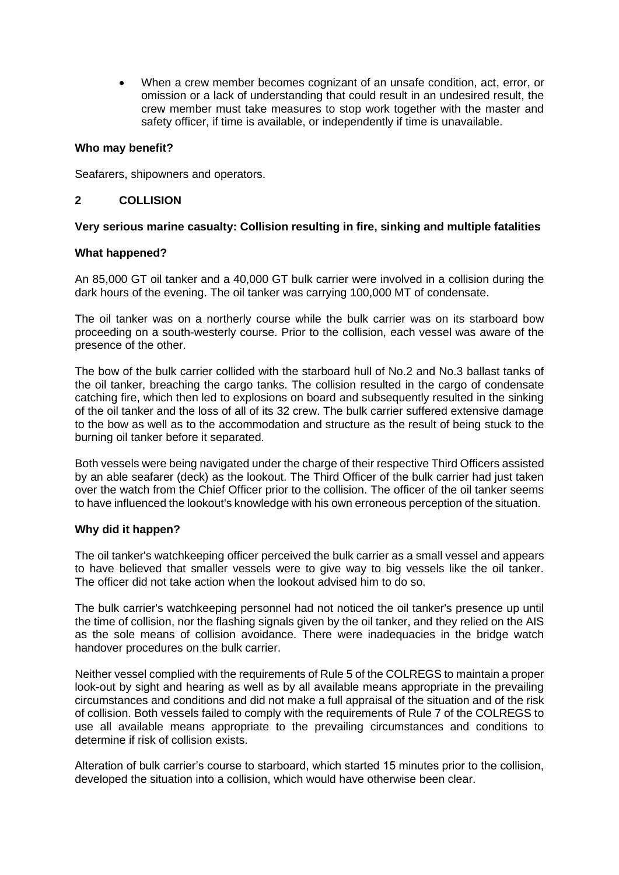• When a crew member becomes cognizant of an unsafe condition, act, error, or omission or a lack of understanding that could result in an undesired result, the crew member must take measures to stop work together with the master and safety officer, if time is available, or independently if time is unavailable.

## **Who may benefit?**

Seafarers, shipowners and operators.

## **2 COLLISION**

## **Very serious marine casualty: Collision resulting in fire, sinking and multiple fatalities**

### **What happened?**

An 85,000 GT oil tanker and a 40,000 GT bulk carrier were involved in a collision during the dark hours of the evening. The oil tanker was carrying 100,000 MT of condensate.

The oil tanker was on a northerly course while the bulk carrier was on its starboard bow proceeding on a south-westerly course. Prior to the collision, each vessel was aware of the presence of the other.

The bow of the bulk carrier collided with the starboard hull of No.2 and No.3 ballast tanks of the oil tanker, breaching the cargo tanks. The collision resulted in the cargo of condensate catching fire, which then led to explosions on board and subsequently resulted in the sinking of the oil tanker and the loss of all of its 32 crew. The bulk carrier suffered extensive damage to the bow as well as to the accommodation and structure as the result of being stuck to the burning oil tanker before it separated.

Both vessels were being navigated under the charge of their respective Third Officers assisted by an able seafarer (deck) as the lookout. The Third Officer of the bulk carrier had just taken over the watch from the Chief Officer prior to the collision. The officer of the oil tanker seems to have influenced the lookout's knowledge with his own erroneous perception of the situation.

### **Why did it happen?**

The oil tanker's watchkeeping officer perceived the bulk carrier as a small vessel and appears to have believed that smaller vessels were to give way to big vessels like the oil tanker. The officer did not take action when the lookout advised him to do so.

The bulk carrier's watchkeeping personnel had not noticed the oil tanker's presence up until the time of collision, nor the flashing signals given by the oil tanker, and they relied on the AIS as the sole means of collision avoidance. There were inadequacies in the bridge watch handover procedures on the bulk carrier.

Neither vessel complied with the requirements of Rule 5 of the COLREGS to maintain a proper look-out by sight and hearing as well as by all available means appropriate in the prevailing circumstances and conditions and did not make a full appraisal of the situation and of the risk of collision. Both vessels failed to comply with the requirements of Rule 7 of the COLREGS to use all available means appropriate to the prevailing circumstances and conditions to determine if risk of collision exists.

Alteration of bulk carrier's course to starboard, which started 15 minutes prior to the collision, developed the situation into a collision, which would have otherwise been clear.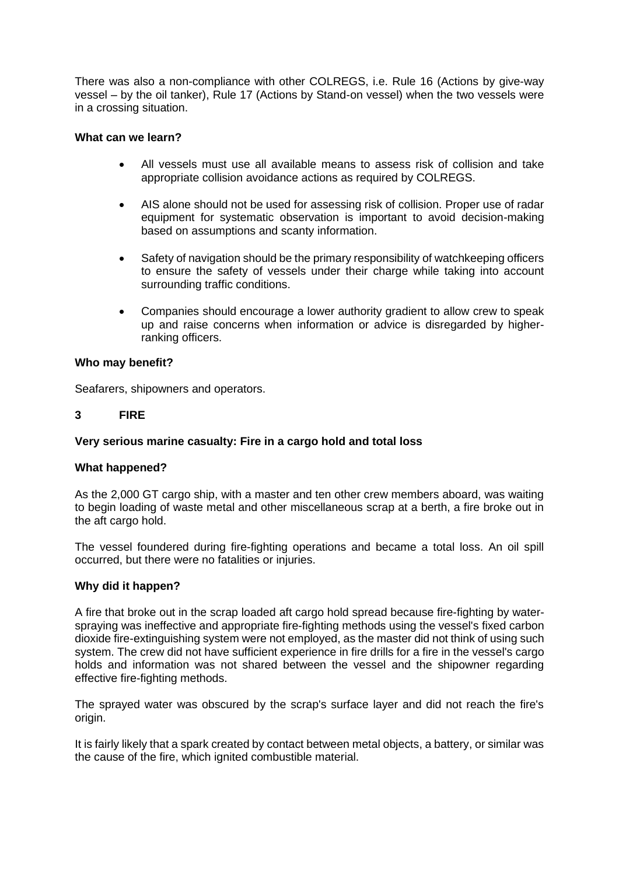There was also a non-compliance with other COLREGS, i.e. Rule 16 (Actions by give-way vessel – by the oil tanker), Rule 17 (Actions by Stand-on vessel) when the two vessels were in a crossing situation.

## **What can we learn?**

- All vessels must use all available means to assess risk of collision and take appropriate collision avoidance actions as required by COLREGS.
- AIS alone should not be used for assessing risk of collision. Proper use of radar equipment for systematic observation is important to avoid decision-making based on assumptions and scanty information.
- Safety of navigation should be the primary responsibility of watchkeeping officers to ensure the safety of vessels under their charge while taking into account surrounding traffic conditions.
- Companies should encourage a lower authority gradient to allow crew to speak up and raise concerns when information or advice is disregarded by higherranking officers.

### **Who may benefit?**

Seafarers, shipowners and operators.

## **3 FIRE**

## **Very serious marine casualty: Fire in a cargo hold and total loss**

### **What happened?**

As the 2,000 GT cargo ship, with a master and ten other crew members aboard, was waiting to begin loading of waste metal and other miscellaneous scrap at a berth, a fire broke out in the aft cargo hold.

The vessel foundered during fire-fighting operations and became a total loss. An oil spill occurred, but there were no fatalities or injuries.

### **Why did it happen?**

A fire that broke out in the scrap loaded aft cargo hold spread because fire-fighting by waterspraying was ineffective and appropriate fire-fighting methods using the vessel's fixed carbon dioxide fire-extinguishing system were not employed, as the master did not think of using such system. The crew did not have sufficient experience in fire drills for a fire in the vessel's cargo holds and information was not shared between the vessel and the shipowner regarding effective fire-fighting methods.

The sprayed water was obscured by the scrap's surface layer and did not reach the fire's origin.

It is fairly likely that a spark created by contact between metal objects, a battery, or similar was the cause of the fire, which ignited combustible material.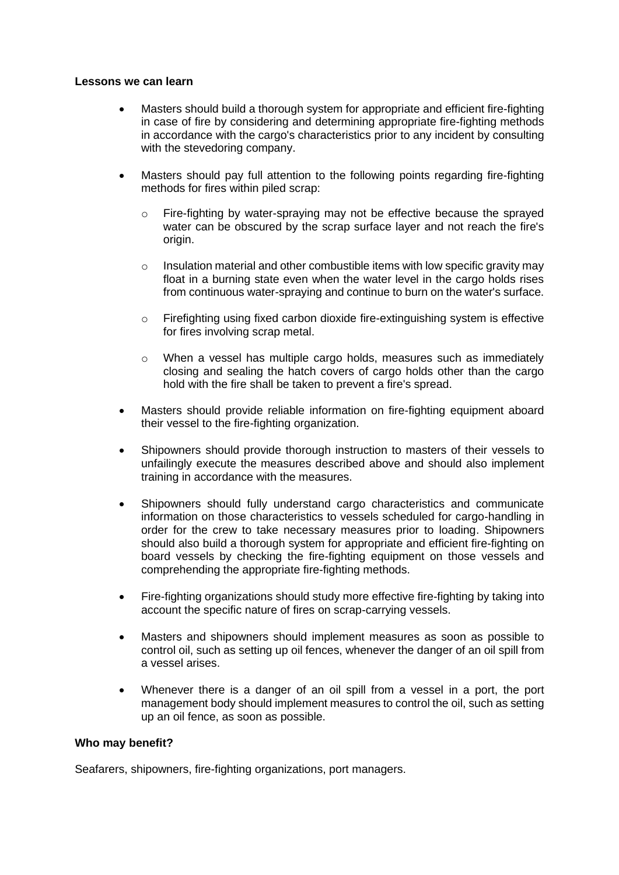### **Lessons we can learn**

- Masters should build a thorough system for appropriate and efficient fire-fighting in case of fire by considering and determining appropriate fire-fighting methods in accordance with the cargo's characteristics prior to any incident by consulting with the stevedoring company.
- Masters should pay full attention to the following points regarding fire-fighting methods for fires within piled scrap:
	- $\circ$  Fire-fighting by water-spraying may not be effective because the sprayed water can be obscured by the scrap surface layer and not reach the fire's origin.
	- $\circ$  Insulation material and other combustible items with low specific gravity may float in a burning state even when the water level in the cargo holds rises from continuous water-spraying and continue to burn on the water's surface.
	- o Firefighting using fixed carbon dioxide fire-extinguishing system is effective for fires involving scrap metal.
	- $\circ$  When a vessel has multiple cargo holds, measures such as immediately closing and sealing the hatch covers of cargo holds other than the cargo hold with the fire shall be taken to prevent a fire's spread.
- Masters should provide reliable information on fire-fighting equipment aboard their vessel to the fire-fighting organization.
- Shipowners should provide thorough instruction to masters of their vessels to unfailingly execute the measures described above and should also implement training in accordance with the measures.
- Shipowners should fully understand cargo characteristics and communicate information on those characteristics to vessels scheduled for cargo-handling in order for the crew to take necessary measures prior to loading. Shipowners should also build a thorough system for appropriate and efficient fire-fighting on board vessels by checking the fire-fighting equipment on those vessels and comprehending the appropriate fire-fighting methods.
- Fire-fighting organizations should study more effective fire-fighting by taking into account the specific nature of fires on scrap-carrying vessels.
- Masters and shipowners should implement measures as soon as possible to control oil, such as setting up oil fences, whenever the danger of an oil spill from a vessel arises.
- Whenever there is a danger of an oil spill from a vessel in a port, the port management body should implement measures to control the oil, such as setting up an oil fence, as soon as possible.

### **Who may benefit?**

Seafarers, shipowners, fire-fighting organizations, port managers.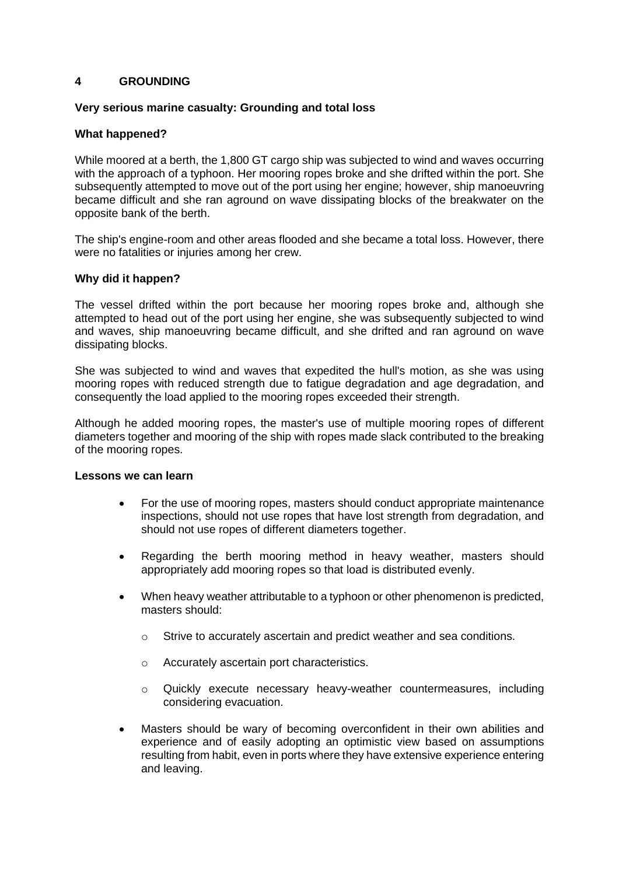## **4 GROUNDING**

### **Very serious marine casualty: Grounding and total loss**

### **What happened?**

While moored at a berth, the 1,800 GT cargo ship was subjected to wind and waves occurring with the approach of a typhoon. Her mooring ropes broke and she drifted within the port. She subsequently attempted to move out of the port using her engine; however, ship manoeuvring became difficult and she ran aground on wave dissipating blocks of the breakwater on the opposite bank of the berth.

The ship's engine-room and other areas flooded and she became a total loss. However, there were no fatalities or injuries among her crew.

### **Why did it happen?**

The vessel drifted within the port because her mooring ropes broke and, although she attempted to head out of the port using her engine, she was subsequently subjected to wind and waves, ship manoeuvring became difficult, and she drifted and ran aground on wave dissipating blocks.

She was subjected to wind and waves that expedited the hull's motion, as she was using mooring ropes with reduced strength due to fatigue degradation and age degradation, and consequently the load applied to the mooring ropes exceeded their strength.

Although he added mooring ropes, the master's use of multiple mooring ropes of different diameters together and mooring of the ship with ropes made slack contributed to the breaking of the mooring ropes.

### **Lessons we can learn**

- For the use of mooring ropes, masters should conduct appropriate maintenance inspections, should not use ropes that have lost strength from degradation, and should not use ropes of different diameters together.
- Regarding the berth mooring method in heavy weather, masters should appropriately add mooring ropes so that load is distributed evenly.
- When heavy weather attributable to a typhoon or other phenomenon is predicted, masters should:
	- o Strive to accurately ascertain and predict weather and sea conditions.
	- o Accurately ascertain port characteristics.
	- o Quickly execute necessary heavy-weather countermeasures, including considering evacuation.
- Masters should be wary of becoming overconfident in their own abilities and experience and of easily adopting an optimistic view based on assumptions resulting from habit, even in ports where they have extensive experience entering and leaving.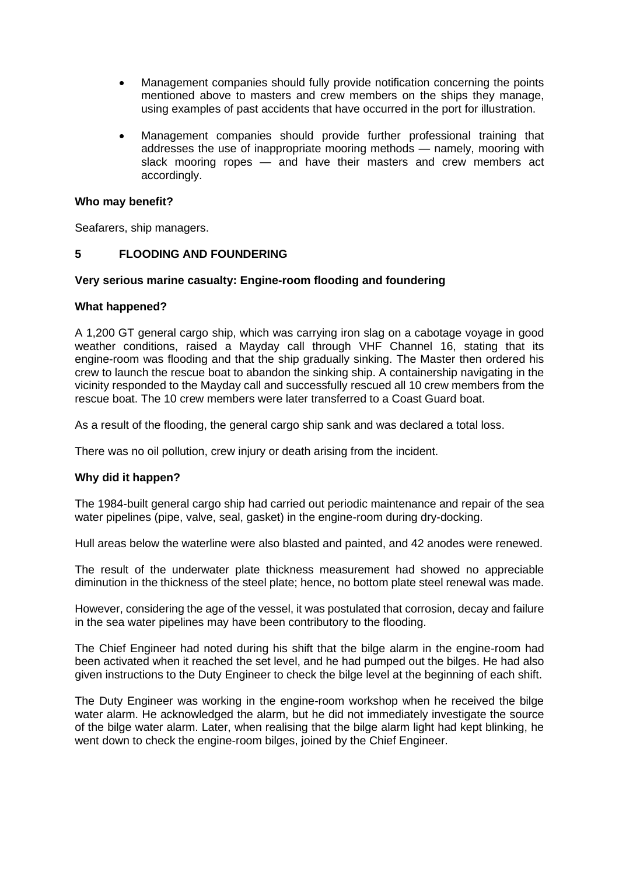- Management companies should fully provide notification concerning the points mentioned above to masters and crew members on the ships they manage, using examples of past accidents that have occurred in the port for illustration.
- Management companies should provide further professional training that addresses the use of inappropriate mooring methods — namely, mooring with slack mooring ropes — and have their masters and crew members act accordingly.

## **Who may benefit?**

Seafarers, ship managers.

## **5 FLOODING AND FOUNDERING**

## **Very serious marine casualty: Engine-room flooding and foundering**

## **What happened?**

A 1,200 GT general cargo ship, which was carrying iron slag on a cabotage voyage in good weather conditions, raised a Mayday call through VHF Channel 16, stating that its engine-room was flooding and that the ship gradually sinking. The Master then ordered his crew to launch the rescue boat to abandon the sinking ship. A containership navigating in the vicinity responded to the Mayday call and successfully rescued all 10 crew members from the rescue boat. The 10 crew members were later transferred to a Coast Guard boat.

As a result of the flooding, the general cargo ship sank and was declared a total loss.

There was no oil pollution, crew injury or death arising from the incident.

## **Why did it happen?**

The 1984-built general cargo ship had carried out periodic maintenance and repair of the sea water pipelines (pipe, valve, seal, gasket) in the engine-room during dry-docking.

Hull areas below the waterline were also blasted and painted, and 42 anodes were renewed.

The result of the underwater plate thickness measurement had showed no appreciable diminution in the thickness of the steel plate; hence, no bottom plate steel renewal was made.

However, considering the age of the vessel, it was postulated that corrosion, decay and failure in the sea water pipelines may have been contributory to the flooding.

The Chief Engineer had noted during his shift that the bilge alarm in the engine-room had been activated when it reached the set level, and he had pumped out the bilges. He had also given instructions to the Duty Engineer to check the bilge level at the beginning of each shift.

The Duty Engineer was working in the engine-room workshop when he received the bilge water alarm. He acknowledged the alarm, but he did not immediately investigate the source of the bilge water alarm. Later, when realising that the bilge alarm light had kept blinking, he went down to check the engine-room bilges, joined by the Chief Engineer.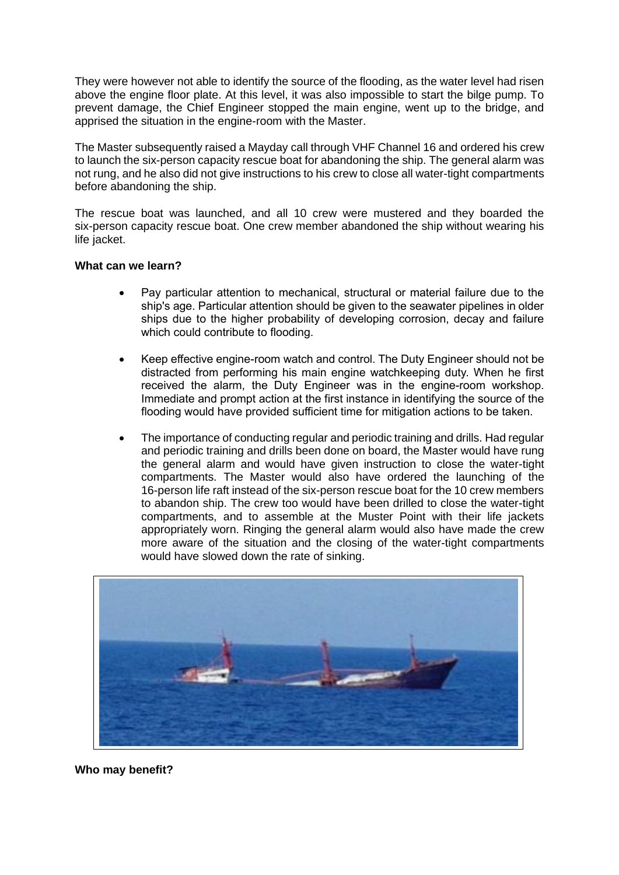They were however not able to identify the source of the flooding, as the water level had risen above the engine floor plate. At this level, it was also impossible to start the bilge pump. To prevent damage, the Chief Engineer stopped the main engine, went up to the bridge, and apprised the situation in the engine-room with the Master.

The Master subsequently raised a Mayday call through VHF Channel 16 and ordered his crew to launch the six-person capacity rescue boat for abandoning the ship. The general alarm was not rung, and he also did not give instructions to his crew to close all water-tight compartments before abandoning the ship.

The rescue boat was launched, and all 10 crew were mustered and they boarded the six-person capacity rescue boat. One crew member abandoned the ship without wearing his life jacket.

## **What can we learn?**

- Pay particular attention to mechanical, structural or material failure due to the ship's age. Particular attention should be given to the seawater pipelines in older ships due to the higher probability of developing corrosion, decay and failure which could contribute to flooding.
- Keep effective engine-room watch and control. The Duty Engineer should not be distracted from performing his main engine watchkeeping duty. When he first received the alarm, the Duty Engineer was in the engine-room workshop. Immediate and prompt action at the first instance in identifying the source of the flooding would have provided sufficient time for mitigation actions to be taken.
- The importance of conducting regular and periodic training and drills. Had regular and periodic training and drills been done on board, the Master would have rung the general alarm and would have given instruction to close the water-tight compartments. The Master would also have ordered the launching of the 16-person life raft instead of the six-person rescue boat for the 10 crew members to abandon ship. The crew too would have been drilled to close the water-tight compartments, and to assemble at the Muster Point with their life jackets appropriately worn. Ringing the general alarm would also have made the crew more aware of the situation and the closing of the water-tight compartments would have slowed down the rate of sinking.



**Who may benefit?**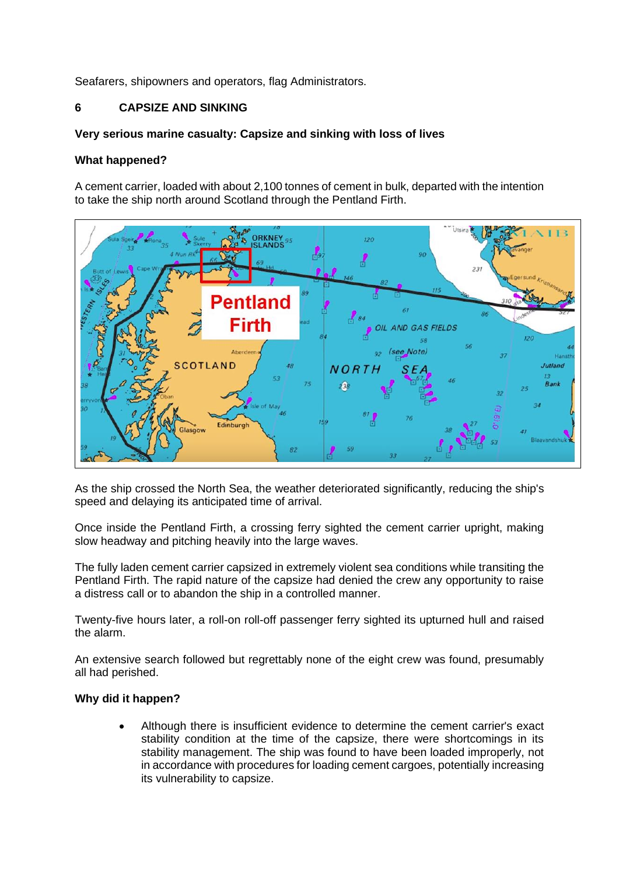Seafarers, shipowners and operators, flag Administrators.

# **6 CAPSIZE AND SINKING**

## **Very serious marine casualty: Capsize and sinking with loss of lives**

## **What happened?**

A cement carrier, loaded with about 2,100 tonnes of cement in bulk, departed with the intention to take the ship north around Scotland through the Pentland Firth.



As the ship crossed the North Sea, the weather deteriorated significantly, reducing the ship's speed and delaying its anticipated time of arrival.

Once inside the Pentland Firth, a crossing ferry sighted the cement carrier upright, making slow headway and pitching heavily into the large waves.

The fully laden cement carrier capsized in extremely violent sea conditions while transiting the Pentland Firth. The rapid nature of the capsize had denied the crew any opportunity to raise a distress call or to abandon the ship in a controlled manner.

Twenty-five hours later, a roll-on roll-off passenger ferry sighted its upturned hull and raised the alarm.

An extensive search followed but regrettably none of the eight crew was found, presumably all had perished.

## **Why did it happen?**

• Although there is insufficient evidence to determine the cement carrier's exact stability condition at the time of the capsize, there were shortcomings in its stability management. The ship was found to have been loaded improperly, not in accordance with procedures for loading cement cargoes, potentially increasing its vulnerability to capsize.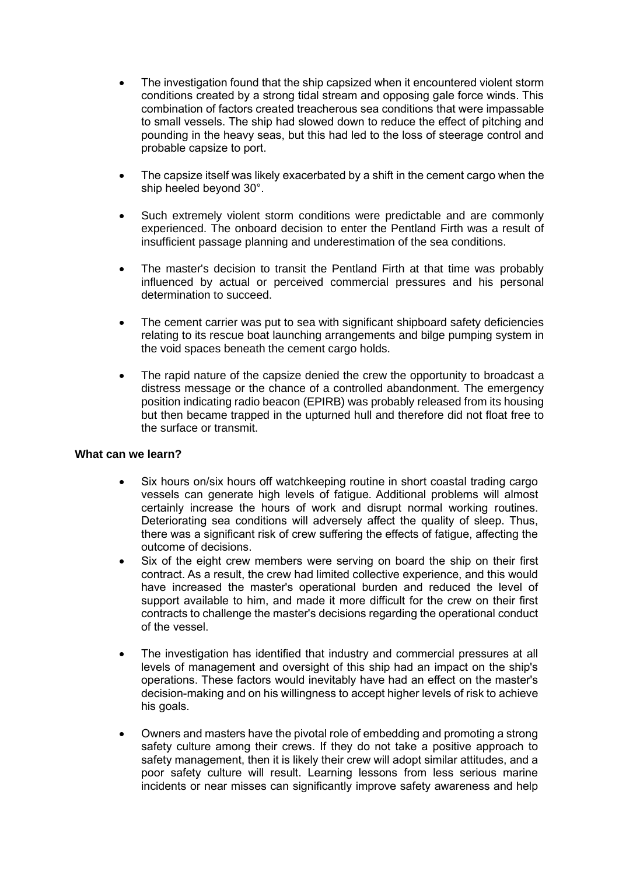- The investigation found that the ship capsized when it encountered violent storm conditions created by a strong tidal stream and opposing gale force winds. This combination of factors created treacherous sea conditions that were impassable to small vessels. The ship had slowed down to reduce the effect of pitching and pounding in the heavy seas, but this had led to the loss of steerage control and probable capsize to port.
- The capsize itself was likely exacerbated by a shift in the cement cargo when the ship heeled beyond 30°.
- Such extremely violent storm conditions were predictable and are commonly experienced. The onboard decision to enter the Pentland Firth was a result of insufficient passage planning and underestimation of the sea conditions.
- The master's decision to transit the Pentland Firth at that time was probably influenced by actual or perceived commercial pressures and his personal determination to succeed.
- The cement carrier was put to sea with significant shipboard safety deficiencies relating to its rescue boat launching arrangements and bilge pumping system in the void spaces beneath the cement cargo holds.
- The rapid nature of the capsize denied the crew the opportunity to broadcast a distress message or the chance of a controlled abandonment. The emergency position indicating radio beacon (EPIRB) was probably released from its housing but then became trapped in the upturned hull and therefore did not float free to the surface or transmit.

## **What can we learn?**

- Six hours on/six hours off watchkeeping routine in short coastal trading cargo vessels can generate high levels of fatigue. Additional problems will almost certainly increase the hours of work and disrupt normal working routines. Deteriorating sea conditions will adversely affect the quality of sleep. Thus, there was a significant risk of crew suffering the effects of fatigue, affecting the outcome of decisions.
- Six of the eight crew members were serving on board the ship on their first contract. As a result, the crew had limited collective experience, and this would have increased the master's operational burden and reduced the level of support available to him, and made it more difficult for the crew on their first contracts to challenge the master's decisions regarding the operational conduct of the vessel.
- The investigation has identified that industry and commercial pressures at all levels of management and oversight of this ship had an impact on the ship's operations. These factors would inevitably have had an effect on the master's decision-making and on his willingness to accept higher levels of risk to achieve his goals.
- Owners and masters have the pivotal role of embedding and promoting a strong safety culture among their crews. If they do not take a positive approach to safety management, then it is likely their crew will adopt similar attitudes, and a poor safety culture will result. Learning lessons from less serious marine incidents or near misses can significantly improve safety awareness and help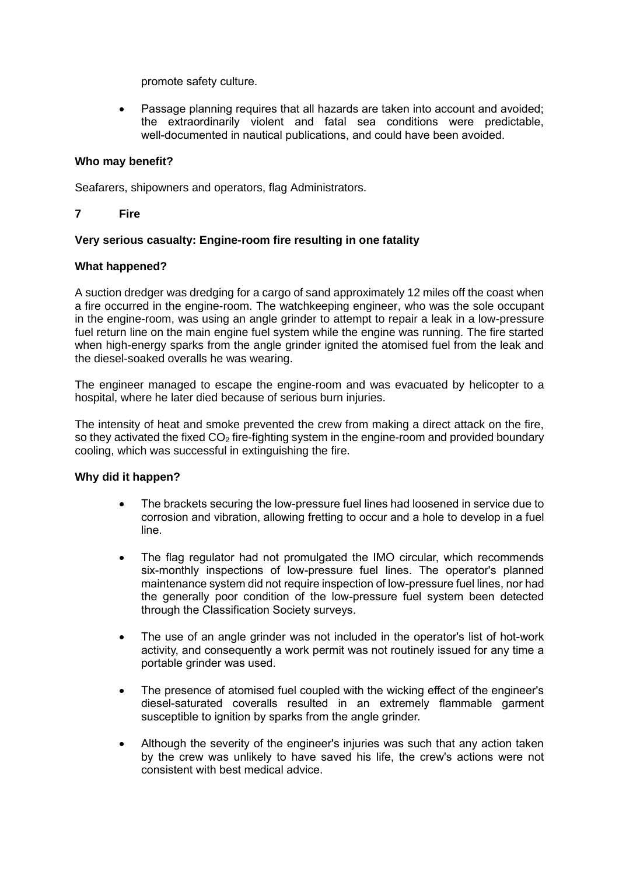promote safety culture.

• Passage planning requires that all hazards are taken into account and avoided; the extraordinarily violent and fatal sea conditions were predictable, well-documented in nautical publications, and could have been avoided.

## **Who may benefit?**

Seafarers, shipowners and operators, flag Administrators.

## **7 Fire**

## **Very serious casualty: Engine-room fire resulting in one fatality**

## **What happened?**

A suction dredger was dredging for a cargo of sand approximately 12 miles off the coast when a fire occurred in the engine-room. The watchkeeping engineer, who was the sole occupant in the engine-room, was using an angle grinder to attempt to repair a leak in a low-pressure fuel return line on the main engine fuel system while the engine was running. The fire started when high-energy sparks from the angle grinder ignited the atomised fuel from the leak and the diesel-soaked overalls he was wearing.

The engineer managed to escape the engine-room and was evacuated by helicopter to a hospital, where he later died because of serious burn injuries.

The intensity of heat and smoke prevented the crew from making a direct attack on the fire, so they activated the fixed  $CO<sub>2</sub>$  fire-fighting system in the engine-room and provided boundary cooling, which was successful in extinguishing the fire.

## **Why did it happen?**

- The brackets securing the low-pressure fuel lines had loosened in service due to corrosion and vibration, allowing fretting to occur and a hole to develop in a fuel line.
- The flag regulator had not promulgated the IMO circular, which recommends six-monthly inspections of low-pressure fuel lines. The operator's planned maintenance system did not require inspection of low-pressure fuel lines, nor had the generally poor condition of the low-pressure fuel system been detected through the Classification Society surveys.
- The use of an angle grinder was not included in the operator's list of hot-work activity, and consequently a work permit was not routinely issued for any time a portable grinder was used.
- The presence of atomised fuel coupled with the wicking effect of the engineer's diesel-saturated coveralls resulted in an extremely flammable garment susceptible to ignition by sparks from the angle grinder.
- Although the severity of the engineer's injuries was such that any action taken by the crew was unlikely to have saved his life, the crew's actions were not consistent with best medical advice.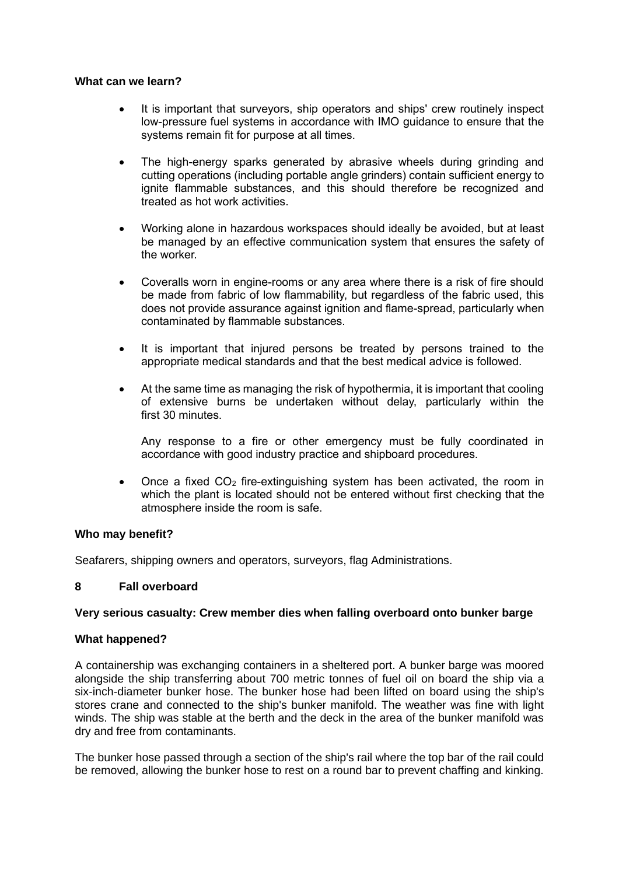### **What can we learn?**

- It is important that surveyors, ship operators and ships' crew routinely inspect low-pressure fuel systems in accordance with IMO guidance to ensure that the systems remain fit for purpose at all times.
- The high-energy sparks generated by abrasive wheels during grinding and cutting operations (including portable angle grinders) contain sufficient energy to ignite flammable substances, and this should therefore be recognized and treated as hot work activities.
- Working alone in hazardous workspaces should ideally be avoided, but at least be managed by an effective communication system that ensures the safety of the worker.
- Coveralls worn in engine-rooms or any area where there is a risk of fire should be made from fabric of low flammability, but regardless of the fabric used, this does not provide assurance against ignition and flame-spread, particularly when contaminated by flammable substances.
- It is important that injured persons be treated by persons trained to the appropriate medical standards and that the best medical advice is followed.
- At the same time as managing the risk of hypothermia, it is important that cooling of extensive burns be undertaken without delay, particularly within the first 30 minutes.

Any response to a fire or other emergency must be fully coordinated in accordance with good industry practice and shipboard procedures.

• Once a fixed  $CO<sub>2</sub>$  fire-extinguishing system has been activated, the room in which the plant is located should not be entered without first checking that the atmosphere inside the room is safe.

### **Who may benefit?**

Seafarers, shipping owners and operators, surveyors, flag Administrations.

### **8 Fall overboard**

### **Very serious casualty: Crew member dies when falling overboard onto bunker barge**

### **What happened?**

A containership was exchanging containers in a sheltered port. A bunker barge was moored alongside the ship transferring about 700 metric tonnes of fuel oil on board the ship via a six-inch-diameter bunker hose. The bunker hose had been lifted on board using the ship's stores crane and connected to the ship's bunker manifold. The weather was fine with light winds. The ship was stable at the berth and the deck in the area of the bunker manifold was dry and free from contaminants.

The bunker hose passed through a section of the ship's rail where the top bar of the rail could be removed, allowing the bunker hose to rest on a round bar to prevent chaffing and kinking.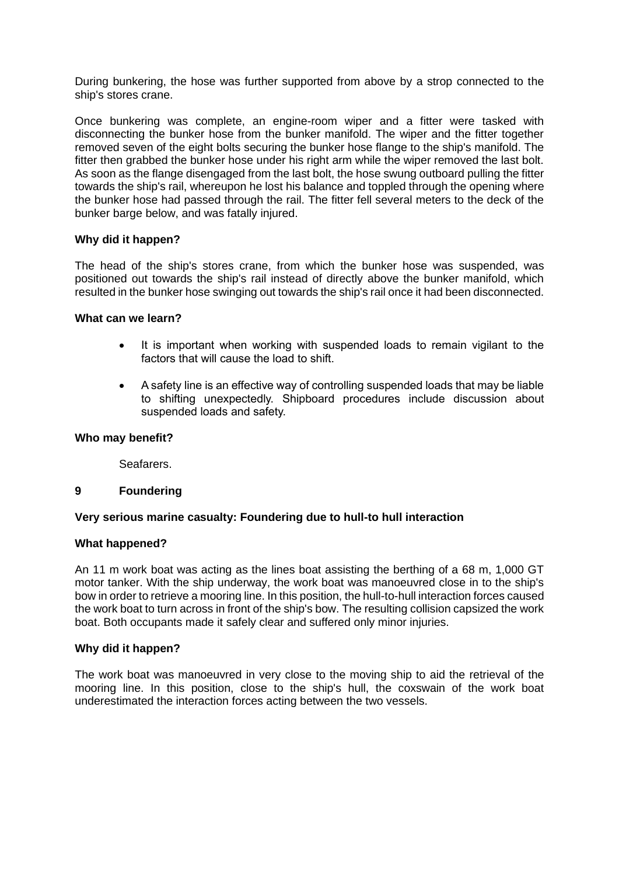During bunkering, the hose was further supported from above by a strop connected to the ship's stores crane.

Once bunkering was complete, an engine-room wiper and a fitter were tasked with disconnecting the bunker hose from the bunker manifold. The wiper and the fitter together removed seven of the eight bolts securing the bunker hose flange to the ship's manifold. The fitter then grabbed the bunker hose under his right arm while the wiper removed the last bolt. As soon as the flange disengaged from the last bolt, the hose swung outboard pulling the fitter towards the ship's rail, whereupon he lost his balance and toppled through the opening where the bunker hose had passed through the rail. The fitter fell several meters to the deck of the bunker barge below, and was fatally injured.

## **Why did it happen?**

The head of the ship's stores crane, from which the bunker hose was suspended, was positioned out towards the ship's rail instead of directly above the bunker manifold, which resulted in the bunker hose swinging out towards the ship's rail once it had been disconnected.

### **What can we learn?**

- It is important when working with suspended loads to remain vigilant to the factors that will cause the load to shift.
- A safety line is an effective way of controlling suspended loads that may be liable to shifting unexpectedly. Shipboard procedures include discussion about suspended loads and safety.

### **Who may benefit?**

Seafarers.

### **9 Foundering**

# **Very serious marine casualty: Foundering due to hull-to hull interaction**

### **What happened?**

An 11 m work boat was acting as the lines boat assisting the berthing of a 68 m, 1,000 GT motor tanker. With the ship underway, the work boat was manoeuvred close in to the ship's bow in order to retrieve a mooring line. In this position, the hull-to-hull interaction forces caused the work boat to turn across in front of the ship's bow. The resulting collision capsized the work boat. Both occupants made it safely clear and suffered only minor injuries.

### **Why did it happen?**

The work boat was manoeuvred in very close to the moving ship to aid the retrieval of the mooring line. In this position, close to the ship's hull, the coxswain of the work boat underestimated the interaction forces acting between the two vessels.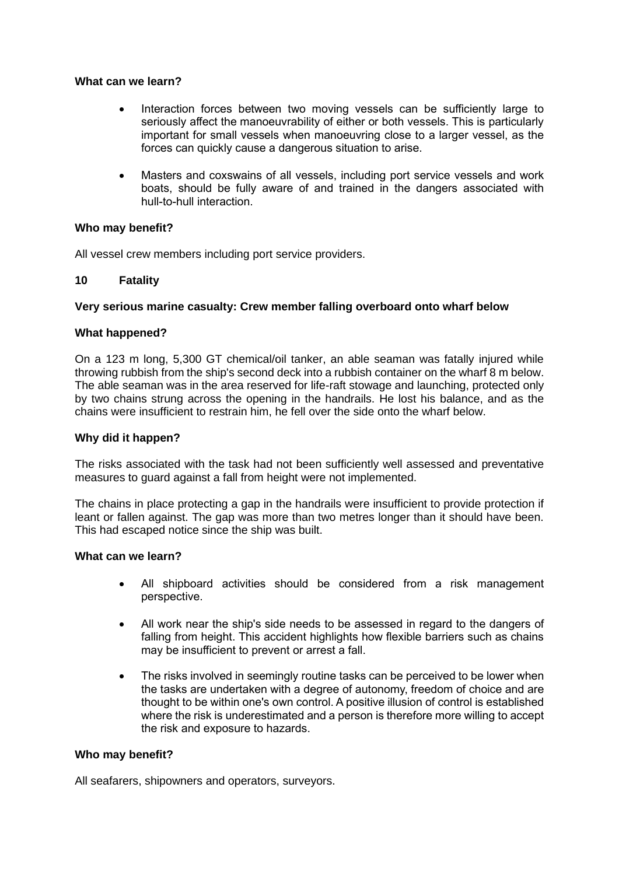### **What can we learn?**

- Interaction forces between two moving vessels can be sufficiently large to seriously affect the manoeuvrability of either or both vessels. This is particularly important for small vessels when manoeuvring close to a larger vessel, as the forces can quickly cause a dangerous situation to arise.
- Masters and coxswains of all vessels, including port service vessels and work boats, should be fully aware of and trained in the dangers associated with hull-to-hull interaction.

## **Who may benefit?**

All vessel crew members including port service providers.

## **10 Fatality**

## **Very serious marine casualty: Crew member falling overboard onto wharf below**

## **What happened?**

On a 123 m long, 5,300 GT chemical/oil tanker, an able seaman was fatally injured while throwing rubbish from the ship's second deck into a rubbish container on the wharf 8 m below. The able seaman was in the area reserved for life-raft stowage and launching, protected only by two chains strung across the opening in the handrails. He lost his balance, and as the chains were insufficient to restrain him, he fell over the side onto the wharf below.

### **Why did it happen?**

The risks associated with the task had not been sufficiently well assessed and preventative measures to guard against a fall from height were not implemented.

The chains in place protecting a gap in the handrails were insufficient to provide protection if leant or fallen against. The gap was more than two metres longer than it should have been. This had escaped notice since the ship was built.

### **What can we learn?**

- All shipboard activities should be considered from a risk management perspective.
- All work near the ship's side needs to be assessed in regard to the dangers of falling from height. This accident highlights how flexible barriers such as chains may be insufficient to prevent or arrest a fall.
- The risks involved in seemingly routine tasks can be perceived to be lower when the tasks are undertaken with a degree of autonomy, freedom of choice and are thought to be within one's own control. A positive illusion of control is established where the risk is underestimated and a person is therefore more willing to accept the risk and exposure to hazards.

### **Who may benefit?**

All seafarers, shipowners and operators, surveyors.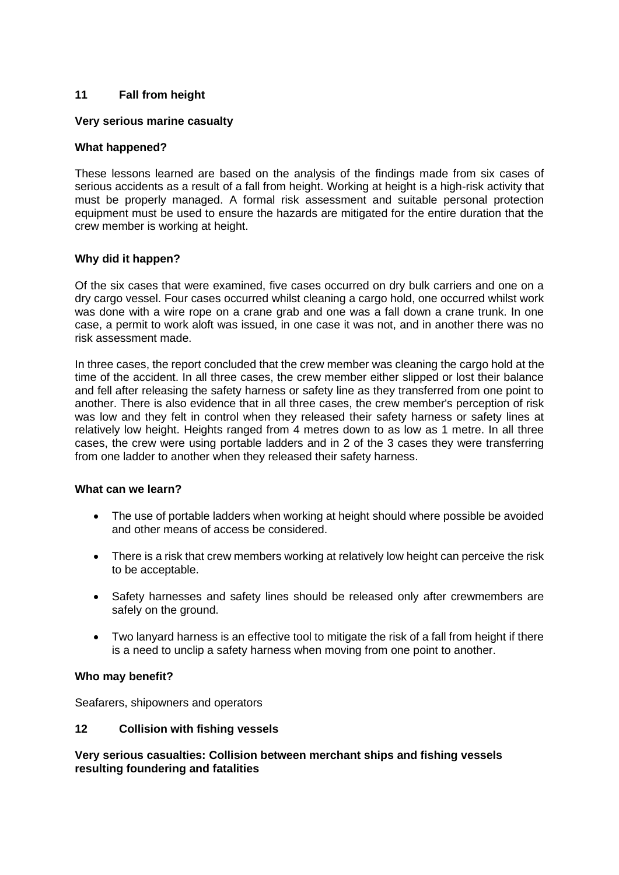# **11 Fall from height**

## **Very serious marine casualty**

## **What happened?**

These lessons learned are based on the analysis of the findings made from six cases of serious accidents as a result of a fall from height. Working at height is a high-risk activity that must be properly managed. A formal risk assessment and suitable personal protection equipment must be used to ensure the hazards are mitigated for the entire duration that the crew member is working at height.

## **Why did it happen?**

Of the six cases that were examined, five cases occurred on dry bulk carriers and one on a dry cargo vessel. Four cases occurred whilst cleaning a cargo hold, one occurred whilst work was done with a wire rope on a crane grab and one was a fall down a crane trunk. In one case, a permit to work aloft was issued, in one case it was not, and in another there was no risk assessment made.

In three cases, the report concluded that the crew member was cleaning the cargo hold at the time of the accident. In all three cases, the crew member either slipped or lost their balance and fell after releasing the safety harness or safety line as they transferred from one point to another. There is also evidence that in all three cases, the crew member's perception of risk was low and they felt in control when they released their safety harness or safety lines at relatively low height. Heights ranged from 4 metres down to as low as 1 metre. In all three cases, the crew were using portable ladders and in 2 of the 3 cases they were transferring from one ladder to another when they released their safety harness.

### **What can we learn?**

- The use of portable ladders when working at height should where possible be avoided and other means of access be considered.
- There is a risk that crew members working at relatively low height can perceive the risk to be acceptable.
- Safety harnesses and safety lines should be released only after crewmembers are safely on the ground.
- Two lanyard harness is an effective tool to mitigate the risk of a fall from height if there is a need to unclip a safety harness when moving from one point to another.

### **Who may benefit?**

Seafarers, shipowners and operators

### **12 Collision with fishing vessels**

**Very serious casualties: Collision between merchant ships and fishing vessels resulting foundering and fatalities**